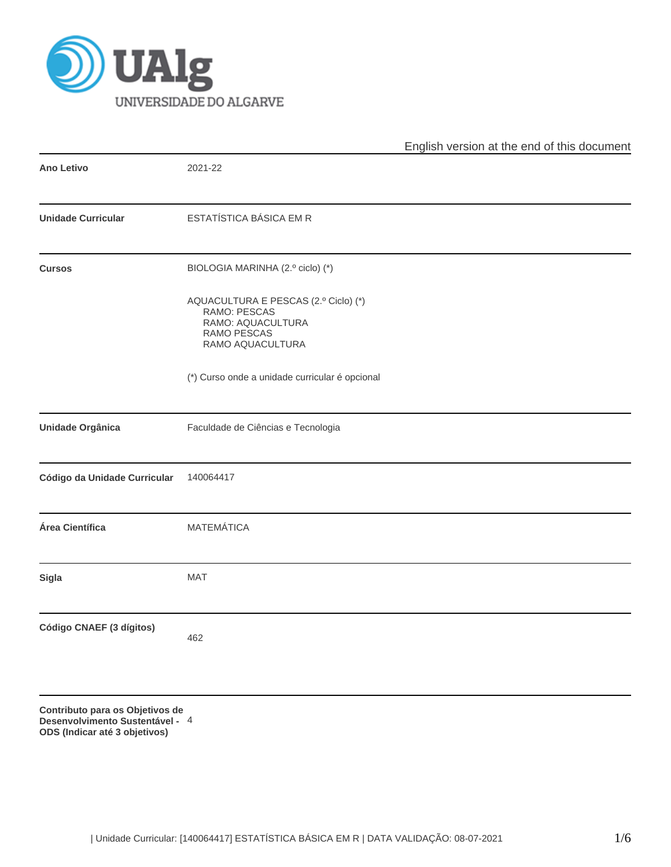

|                              |                                                                                                              | English version at the end of this document |
|------------------------------|--------------------------------------------------------------------------------------------------------------|---------------------------------------------|
| <b>Ano Letivo</b>            | 2021-22                                                                                                      |                                             |
| <b>Unidade Curricular</b>    | ESTATÍSTICA BÁSICA EM R                                                                                      |                                             |
| <b>Cursos</b>                | BIOLOGIA MARINHA (2.º ciclo) (*)                                                                             |                                             |
|                              | AQUACULTURA E PESCAS (2.º Ciclo) (*)<br>RAMO: PESCAS<br>RAMO: AQUACULTURA<br>RAMO PESCAS<br>RAMO AQUACULTURA |                                             |
|                              | (*) Curso onde a unidade curricular é opcional                                                               |                                             |
| Unidade Orgânica             | Faculdade de Ciências e Tecnologia                                                                           |                                             |
| Código da Unidade Curricular | 140064417                                                                                                    |                                             |
| Área Científica              | <b>MATEMÁTICA</b>                                                                                            |                                             |
| <b>Sigla</b>                 | <b>MAT</b>                                                                                                   |                                             |
| Código CNAEF (3 dígitos)     | 462                                                                                                          |                                             |
|                              |                                                                                                              |                                             |

**Contributo para os Objetivos de Desenvolvimento Sustentável -** 4**ODS (Indicar até 3 objetivos)**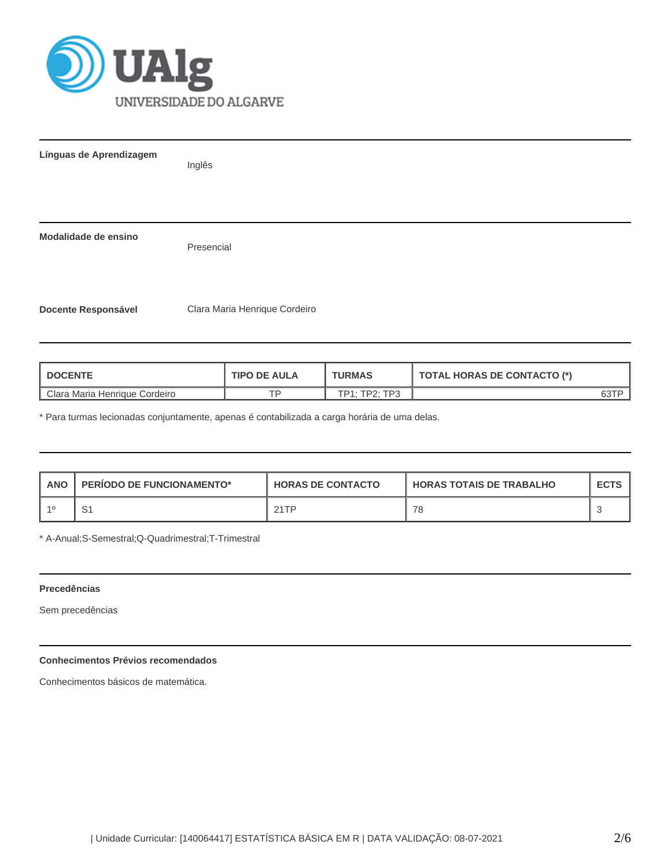

| Línguas de Aprendizagem    | Inglês                        |
|----------------------------|-------------------------------|
| Modalidade de ensino       | Presencial                    |
| <b>Docente Responsável</b> | Clara Maria Henrique Cordeiro |

| <b>TIPO DE AULA</b><br><b>I DOCENTE</b> |    | <b>TURMAS</b>        | <b>TOTAL HORAS DE CONTACTO (*)</b> |  |
|-----------------------------------------|----|----------------------|------------------------------------|--|
| Clara Maria Henrique Cordeiro           | ⊤c | <b>TP1: TP2: TP3</b> |                                    |  |

\* Para turmas lecionadas conjuntamente, apenas é contabilizada a carga horária de uma delas.

| <b>ANO</b> | <b>PERIODO DE FUNCIONAMENTO*</b> | <b>HORAS DE CONTACTO</b> | I HORAS TOTAIS DE TRABALHO | <b>ECTS</b> |
|------------|----------------------------------|--------------------------|----------------------------|-------------|
| -40        |                                  | 21TP                     | 78                         |             |

\* A-Anual;S-Semestral;Q-Quadrimestral;T-Trimestral

# **Precedências**

Sem precedências

# **Conhecimentos Prévios recomendados**

Conhecimentos básicos de matemática.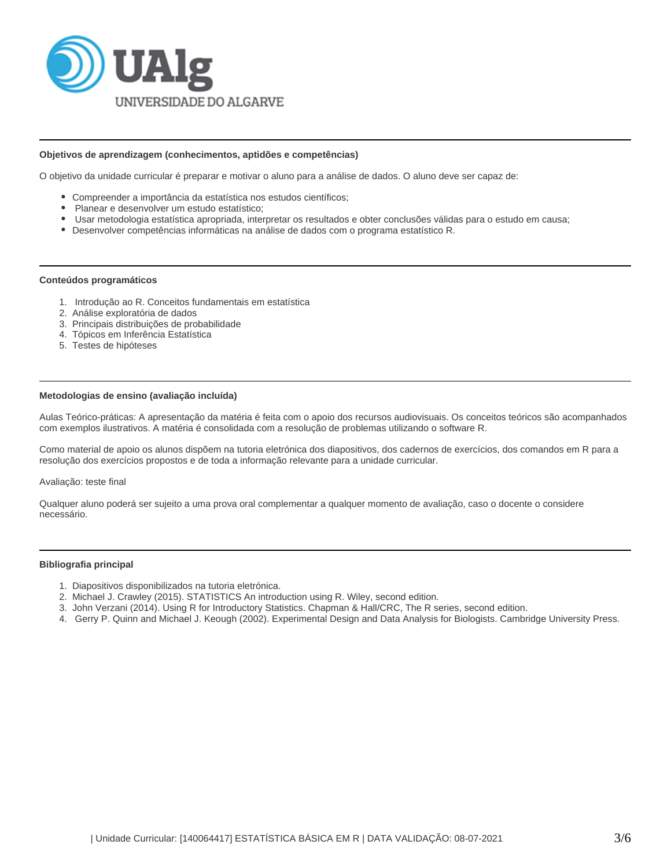

### **Objetivos de aprendizagem (conhecimentos, aptidões e competências)**

O objetivo da unidade curricular é preparar e motivar o aluno para a análise de dados. O aluno deve ser capaz de:

- Compreender a importância da estatística nos estudos científicos;
- Planear e desenvolver um estudo estatístico;
- Usar metodologia estatística apropriada, interpretar os resultados e obter conclusões válidas para o estudo em causa;
- Desenvolver competências informáticas na análise de dados com o programa estatístico R.

#### **Conteúdos programáticos**

- 1. Introdução ao R. Conceitos fundamentais em estatística
- 2. Análise exploratória de dados
- 3. Principais distribuições de probabilidade
- 4. Tópicos em Inferência Estatística
- 5. Testes de hipóteses

## **Metodologias de ensino (avaliação incluída)**

Aulas Teórico-práticas: A apresentação da matéria é feita com o apoio dos recursos audiovisuais. Os conceitos teóricos são acompanhados com exemplos ilustrativos. A matéria é consolidada com a resolução de problemas utilizando o software R.

Como material de apoio os alunos dispõem na tutoria eletrónica dos diapositivos, dos cadernos de exercícios, dos comandos em R para a resolução dos exercícios propostos e de toda a informação relevante para a unidade curricular.

#### Avaliação: teste final

Qualquer aluno poderá ser sujeito a uma prova oral complementar a qualquer momento de avaliação, caso o docente o considere necessário.

#### **Bibliografia principal**

- 1. Diapositivos disponibilizados na tutoria eletrónica.
- 2. Michael J. Crawley (2015). STATISTICS An introduction using R. Wiley, second edition.
- 3. John Verzani (2014). Using R for Introductory Statistics. Chapman & Hall/CRC, The R series, second edition.
- 4. Gerry P. Quinn and Michael J. Keough (2002). Experimental Design and Data Analysis for Biologists. Cambridge University Press.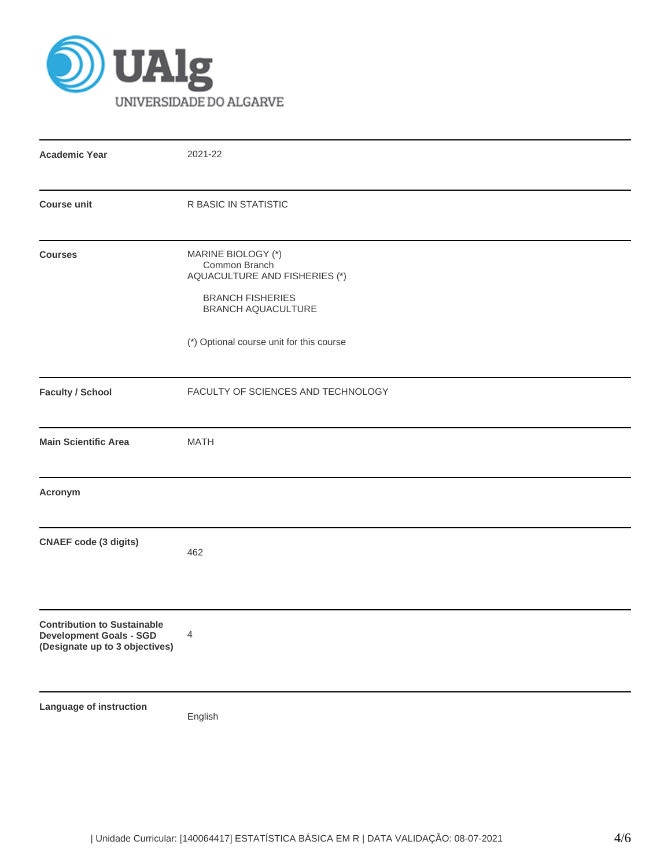

| <b>Academic Year</b>                                                                                   | 2021-22                                                                                                                                                           |  |  |  |  |  |
|--------------------------------------------------------------------------------------------------------|-------------------------------------------------------------------------------------------------------------------------------------------------------------------|--|--|--|--|--|
| <b>Course unit</b>                                                                                     | R BASIC IN STATISTIC                                                                                                                                              |  |  |  |  |  |
| <b>Courses</b>                                                                                         | MARINE BIOLOGY (*)<br>Common Branch<br>AQUACULTURE AND FISHERIES (*)<br><b>BRANCH FISHERIES</b><br>BRANCH AQUACULTURE<br>(*) Optional course unit for this course |  |  |  |  |  |
| <b>Faculty / School</b>                                                                                | FACULTY OF SCIENCES AND TECHNOLOGY                                                                                                                                |  |  |  |  |  |
| <b>Main Scientific Area</b>                                                                            | <b>MATH</b>                                                                                                                                                       |  |  |  |  |  |
| Acronym                                                                                                |                                                                                                                                                                   |  |  |  |  |  |
| <b>CNAEF code (3 digits)</b>                                                                           | 462                                                                                                                                                               |  |  |  |  |  |
| <b>Contribution to Sustainable</b><br><b>Development Goals - SGD</b><br>(Designate up to 3 objectives) | $\overline{4}$                                                                                                                                                    |  |  |  |  |  |
| Language of instruction                                                                                | English                                                                                                                                                           |  |  |  |  |  |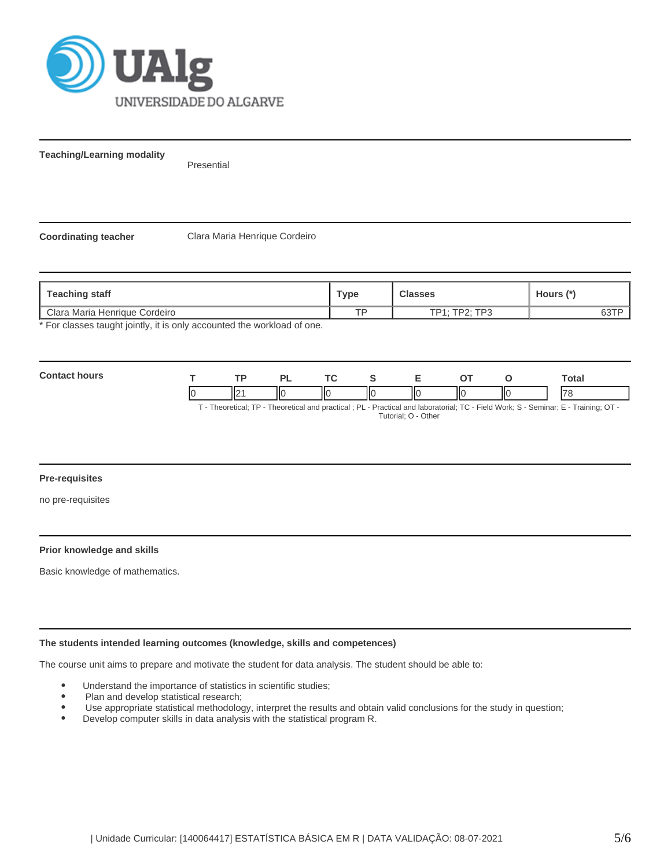

**Teaching/Learning modality**

Presential

**Coordinating teacher** Clara Maria Henrique Cordeiro

| Teaching staff                                                        | <b>Type</b> | <b>Classes</b> | Hours (*) |
|-----------------------------------------------------------------------|-------------|----------------|-----------|
| Clara Maria Henrique Cordeiro                                         | <b>TD</b>   | TP1: TP2: TP3  | 631       |
| * Ear algonne tought jointly it is only accounted the werkload of ane |             |                |           |

For classes taught jointly, it is only accounted the workload of one.

| Com<br>s i i in<br>nours |        | וכ | TC.      |   | -- |    | Total                    |
|--------------------------|--------|----|----------|---|----|----|--------------------------|
|                          | "<br>⋯ | нс | Ш<br>llС | Ш | ΙЮ | IЮ | $\overline{\phantom{a}}$ |

T - Theoretical; TP - Theoretical and practical ; PL - Practical and laboratorial; TC - Field Work; S - Seminar; E - Training; OT - Tutorial; O - Other

#### **Pre-requisites**

no pre-requisites

## **Prior knowledge and skills**

Basic knowledge of mathematics.

## **The students intended learning outcomes (knowledge, skills and competences)**

The course unit aims to prepare and motivate the student for data analysis. The student should be able to:

- Understand the importance of statistics in scientific studies;
- Plan and develop statistical research;
- Use appropriate statistical methodology, interpret the results and obtain valid conclusions for the study in question;  $\bullet$
- $\bullet$ Develop computer skills in data analysis with the statistical program R.